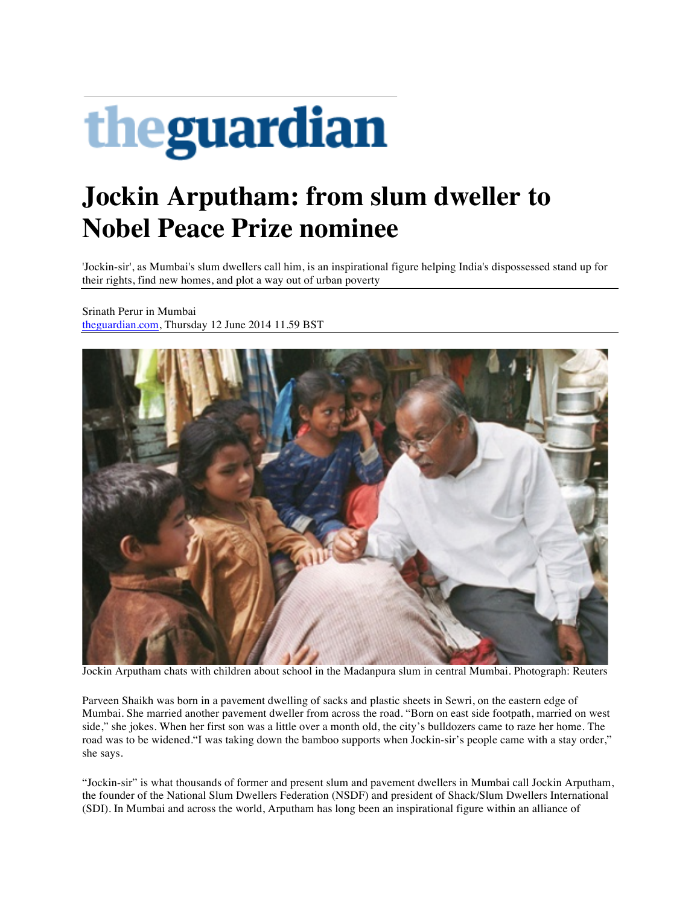## theguardian

## **Jockin Arputham: from slum dweller to Nobel Peace Prize nominee**

'Jockin-sir', as Mumbai's slum dwellers call him, is an inspirational figure helping India's dispossessed stand up for their rights, find new homes, and plot a way out of urban poverty

Srinath Perur in Mumbai theguardian.com, Thursday 12 June 2014 11.59 BST



Jockin Arputham chats with children about school in the Madanpura slum in central Mumbai. Photograph: Reuters

Parveen Shaikh was born in a pavement dwelling of sacks and plastic sheets in Sewri, on the eastern edge of Mumbai. She married another pavement dweller from across the road. "Born on east side footpath, married on west side," she jokes. When her first son was a little over a month old, the city's bulldozers came to raze her home. The road was to be widened."I was taking down the bamboo supports when Jockin-sir's people came with a stay order," she says.

"Jockin-sir" is what thousands of former and present slum and pavement dwellers in Mumbai call Jockin Arputham, the founder of the National Slum Dwellers Federation (NSDF) and president of Shack/Slum Dwellers International (SDI). In Mumbai and across the world, Arputham has long been an inspirational figure within an alliance of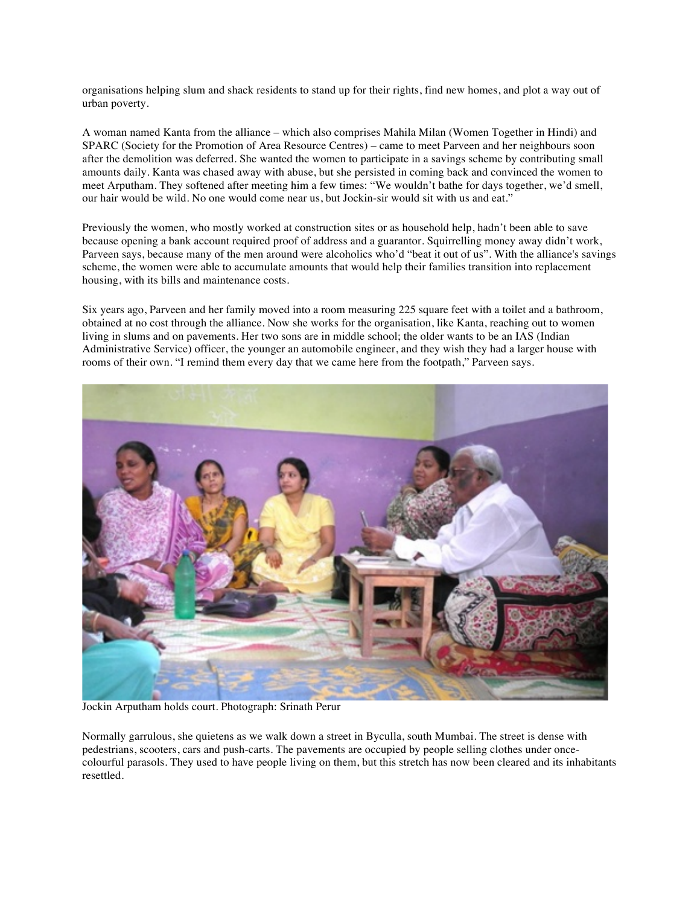organisations helping slum and shack residents to stand up for their rights, find new homes, and plot a way out of urban poverty.

A woman named Kanta from the alliance – which also comprises Mahila Milan (Women Together in Hindi) and SPARC (Society for the Promotion of Area Resource Centres) – came to meet Parveen and her neighbours soon after the demolition was deferred. She wanted the women to participate in a savings scheme by contributing small amounts daily. Kanta was chased away with abuse, but she persisted in coming back and convinced the women to meet Arputham. They softened after meeting him a few times: "We wouldn't bathe for days together, we'd smell, our hair would be wild. No one would come near us, but Jockin-sir would sit with us and eat."

Previously the women, who mostly worked at construction sites or as household help, hadn't been able to save because opening a bank account required proof of address and a guarantor. Squirrelling money away didn't work, Parveen says, because many of the men around were alcoholics who'd "beat it out of us". With the alliance's savings scheme, the women were able to accumulate amounts that would help their families transition into replacement housing, with its bills and maintenance costs.

Six years ago, Parveen and her family moved into a room measuring 225 square feet with a toilet and a bathroom, obtained at no cost through the alliance. Now she works for the organisation, like Kanta, reaching out to women living in slums and on pavements. Her two sons are in middle school; the older wants to be an IAS (Indian Administrative Service) officer, the younger an automobile engineer, and they wish they had a larger house with rooms of their own. "I remind them every day that we came here from the footpath," Parveen says.



Jockin Arputham holds court. Photograph: Srinath Perur

Normally garrulous, she quietens as we walk down a street in Byculla, south Mumbai. The street is dense with pedestrians, scooters, cars and push-carts. The pavements are occupied by people selling clothes under oncecolourful parasols. They used to have people living on them, but this stretch has now been cleared and its inhabitants resettled.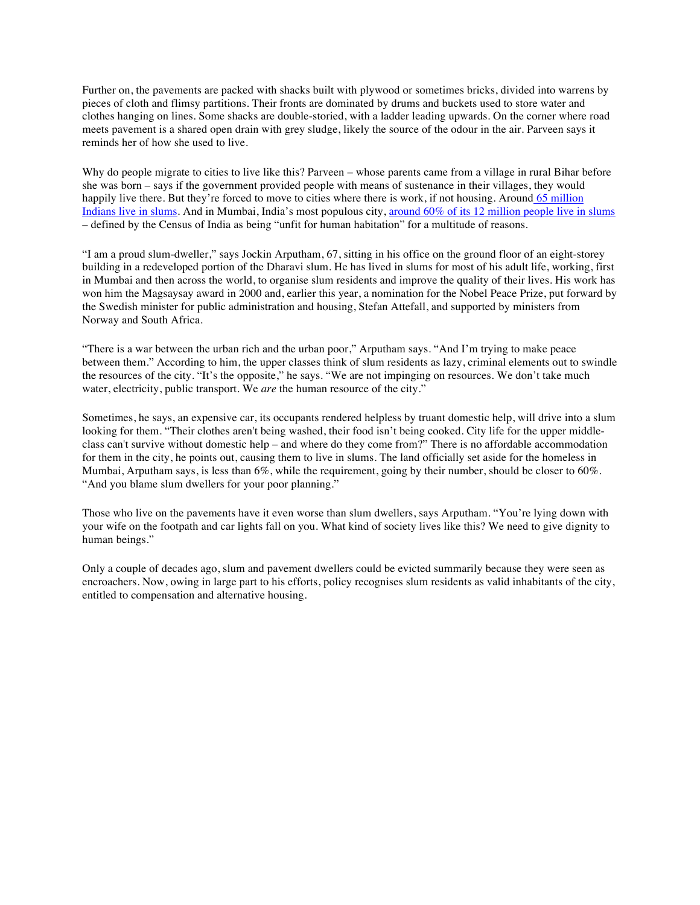Further on, the pavements are packed with shacks built with plywood or sometimes bricks, divided into warrens by pieces of cloth and flimsy partitions. Their fronts are dominated by drums and buckets used to store water and clothes hanging on lines. Some shacks are double-storied, with a ladder leading upwards. On the corner where road meets pavement is a shared open drain with grey sludge, likely the source of the odour in the air. Parveen says it reminds her of how she used to live.

Why do people migrate to cities to live like this? Parveen – whose parents came from a village in rural Bihar before she was born – says if the government provided people with means of sustenance in their villages, they would happily live there. But they're forced to move to cities where there is work, if not housing. Around 65 million Indians live in slums. And in Mumbai, India's most populous city, around 60% of its 12 million people live in slums – defined by the Census of India as being "unfit for human habitation" for a multitude of reasons.

"I am a proud slum-dweller," says Jockin Arputham, 67, sitting in his office on the ground floor of an eight-storey building in a redeveloped portion of the Dharavi slum. He has lived in slums for most of his adult life, working, first in Mumbai and then across the world, to organise slum residents and improve the quality of their lives. His work has won him the Magsaysay award in 2000 and, earlier this year, a nomination for the Nobel Peace Prize, put forward by the Swedish minister for public administration and housing, Stefan Attefall, and supported by ministers from Norway and South Africa.

"There is a war between the urban rich and the urban poor," Arputham says. "And I'm trying to make peace between them." According to him, the upper classes think of slum residents as lazy, criminal elements out to swindle the resources of the city. "It's the opposite," he says. "We are not impinging on resources. We don't take much water, electricity, public transport. We *are* the human resource of the city."

Sometimes, he says, an expensive car, its occupants rendered helpless by truant domestic help, will drive into a slum looking for them. "Their clothes aren't being washed, their food isn't being cooked. City life for the upper middleclass can't survive without domestic help – and where do they come from?" There is no affordable accommodation for them in the city, he points out, causing them to live in slums. The land officially set aside for the homeless in Mumbai, Arputham says, is less than 6%, while the requirement, going by their number, should be closer to 60%. "And you blame slum dwellers for your poor planning."

Those who live on the pavements have it even worse than slum dwellers, says Arputham. "You're lying down with your wife on the footpath and car lights fall on you. What kind of society lives like this? We need to give dignity to human beings."

Only a couple of decades ago, slum and pavement dwellers could be evicted summarily because they were seen as encroachers. Now, owing in large part to his efforts, policy recognises slum residents as valid inhabitants of the city, entitled to compensation and alternative housing.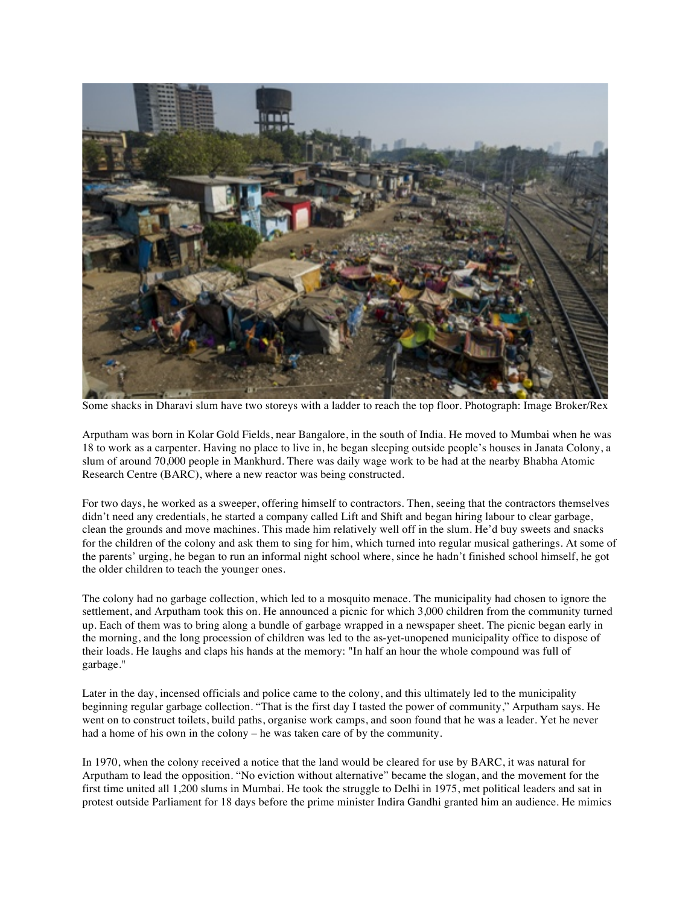

Some shacks in Dharavi slum have two storeys with a ladder to reach the top floor. Photograph: Image Broker/Rex

Arputham was born in Kolar Gold Fields, near Bangalore, in the south of India. He moved to Mumbai when he was 18 to work as a carpenter. Having no place to live in, he began sleeping outside people's houses in Janata Colony, a slum of around 70,000 people in Mankhurd. There was daily wage work to be had at the nearby Bhabha Atomic Research Centre (BARC), where a new reactor was being constructed.

For two days, he worked as a sweeper, offering himself to contractors. Then, seeing that the contractors themselves didn't need any credentials, he started a company called Lift and Shift and began hiring labour to clear garbage, clean the grounds and move machines. This made him relatively well off in the slum. He'd buy sweets and snacks for the children of the colony and ask them to sing for him, which turned into regular musical gatherings. At some of the parents' urging, he began to run an informal night school where, since he hadn't finished school himself, he got the older children to teach the younger ones.

The colony had no garbage collection, which led to a mosquito menace. The municipality had chosen to ignore the settlement, and Arputham took this on. He announced a picnic for which 3,000 children from the community turned up. Each of them was to bring along a bundle of garbage wrapped in a newspaper sheet. The picnic began early in the morning, and the long procession of children was led to the as-yet-unopened municipality office to dispose of their loads. He laughs and claps his hands at the memory: "In half an hour the whole compound was full of garbage."

Later in the day, incensed officials and police came to the colony, and this ultimately led to the municipality beginning regular garbage collection. "That is the first day I tasted the power of community," Arputham says. He went on to construct toilets, build paths, organise work camps, and soon found that he was a leader. Yet he never had a home of his own in the colony – he was taken care of by the community.

In 1970, when the colony received a notice that the land would be cleared for use by BARC, it was natural for Arputham to lead the opposition. "No eviction without alternative" became the slogan, and the movement for the first time united all 1,200 slums in Mumbai. He took the struggle to Delhi in 1975, met political leaders and sat in protest outside Parliament for 18 days before the prime minister Indira Gandhi granted him an audience. He mimics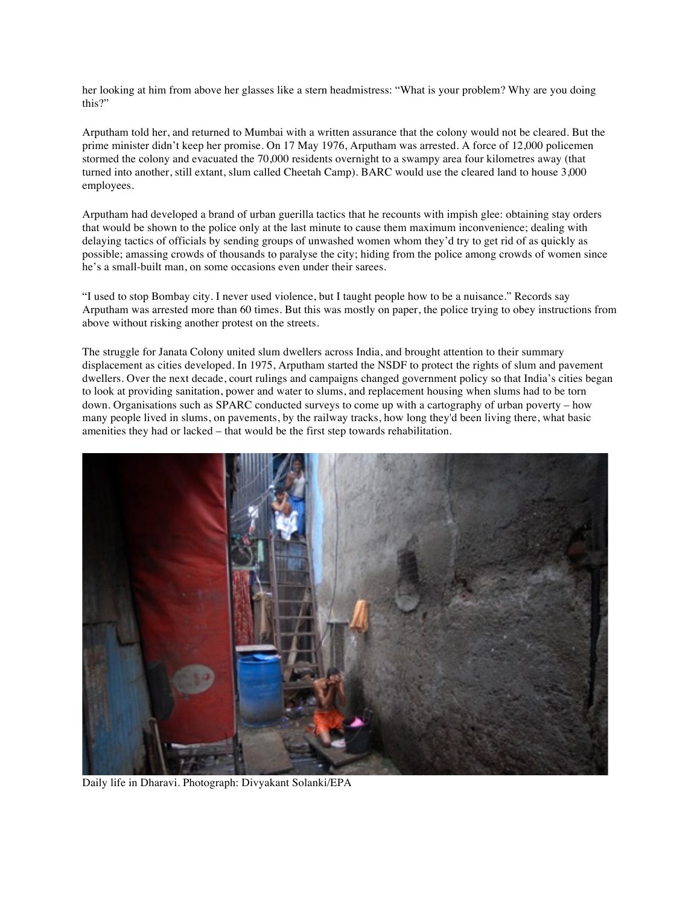her looking at him from above her glasses like a stern headmistress: "What is your problem? Why are you doing this?"

Arputham told her, and returned to Mumbai with a written assurance that the colony would not be cleared. But the prime minister didn't keep her promise. On 17 May 1976, Arputham was arrested. A force of 12,000 policemen stormed the colony and evacuated the 70,000 residents overnight to a swampy area four kilometres away (that turned into another, still extant, slum called Cheetah Camp). BARC would use the cleared land to house 3,000 employees.

Arputham had developed a brand of urban guerilla tactics that he recounts with impish glee: obtaining stay orders that would be shown to the police only at the last minute to cause them maximum inconvenience; dealing with delaying tactics of officials by sending groups of unwashed women whom they'd try to get rid of as quickly as possible; amassing crowds of thousands to paralyse the city; hiding from the police among crowds of women since he's a small-built man, on some occasions even under their sarees.

"I used to stop Bombay city. I never used violence, but I taught people how to be a nuisance." Records say Arputham was arrested more than 60 times. But this was mostly on paper, the police trying to obey instructions from above without risking another protest on the streets.

The struggle for Janata Colony united slum dwellers across India, and brought attention to their summary displacement as cities developed. In 1975, Arputham started the NSDF to protect the rights of slum and pavement dwellers. Over the next decade, court rulings and campaigns changed government policy so that India's cities began to look at providing sanitation, power and water to slums, and replacement housing when slums had to be torn down. Organisations such as SPARC conducted surveys to come up with a cartography of urban poverty – how many people lived in slums, on pavements, by the railway tracks, how long they'd been living there, what basic amenities they had or lacked – that would be the first step towards rehabilitation.



Daily life in Dharavi. Photograph: Divyakant Solanki/EPA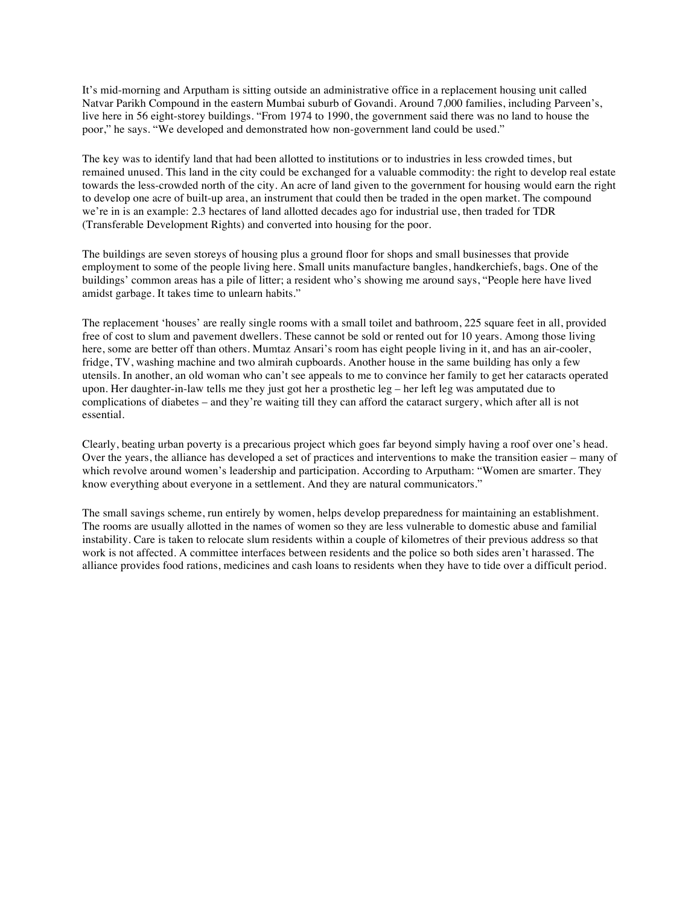It's mid-morning and Arputham is sitting outside an administrative office in a replacement housing unit called Natvar Parikh Compound in the eastern Mumbai suburb of Govandi. Around 7,000 families, including Parveen's, live here in 56 eight-storey buildings. "From 1974 to 1990, the government said there was no land to house the poor," he says. "We developed and demonstrated how non-government land could be used."

The key was to identify land that had been allotted to institutions or to industries in less crowded times, but remained unused. This land in the city could be exchanged for a valuable commodity: the right to develop real estate towards the less-crowded north of the city. An acre of land given to the government for housing would earn the right to develop one acre of built-up area, an instrument that could then be traded in the open market. The compound we're in is an example: 2.3 hectares of land allotted decades ago for industrial use, then traded for TDR (Transferable Development Rights) and converted into housing for the poor.

The buildings are seven storeys of housing plus a ground floor for shops and small businesses that provide employment to some of the people living here. Small units manufacture bangles, handkerchiefs, bags. One of the buildings' common areas has a pile of litter; a resident who's showing me around says, "People here have lived amidst garbage. It takes time to unlearn habits."

The replacement 'houses' are really single rooms with a small toilet and bathroom, 225 square feet in all, provided free of cost to slum and pavement dwellers. These cannot be sold or rented out for 10 years. Among those living here, some are better off than others. Mumtaz Ansari's room has eight people living in it, and has an air-cooler, fridge, TV, washing machine and two almirah cupboards. Another house in the same building has only a few utensils. In another, an old woman who can't see appeals to me to convince her family to get her cataracts operated upon. Her daughter-in-law tells me they just got her a prosthetic leg – her left leg was amputated due to complications of diabetes – and they're waiting till they can afford the cataract surgery, which after all is not essential.

Clearly, beating urban poverty is a precarious project which goes far beyond simply having a roof over one's head. Over the years, the alliance has developed a set of practices and interventions to make the transition easier – many of which revolve around women's leadership and participation. According to Arputham: "Women are smarter. They know everything about everyone in a settlement. And they are natural communicators."

The small savings scheme, run entirely by women, helps develop preparedness for maintaining an establishment. The rooms are usually allotted in the names of women so they are less vulnerable to domestic abuse and familial instability. Care is taken to relocate slum residents within a couple of kilometres of their previous address so that work is not affected. A committee interfaces between residents and the police so both sides aren't harassed. The alliance provides food rations, medicines and cash loans to residents when they have to tide over a difficult period.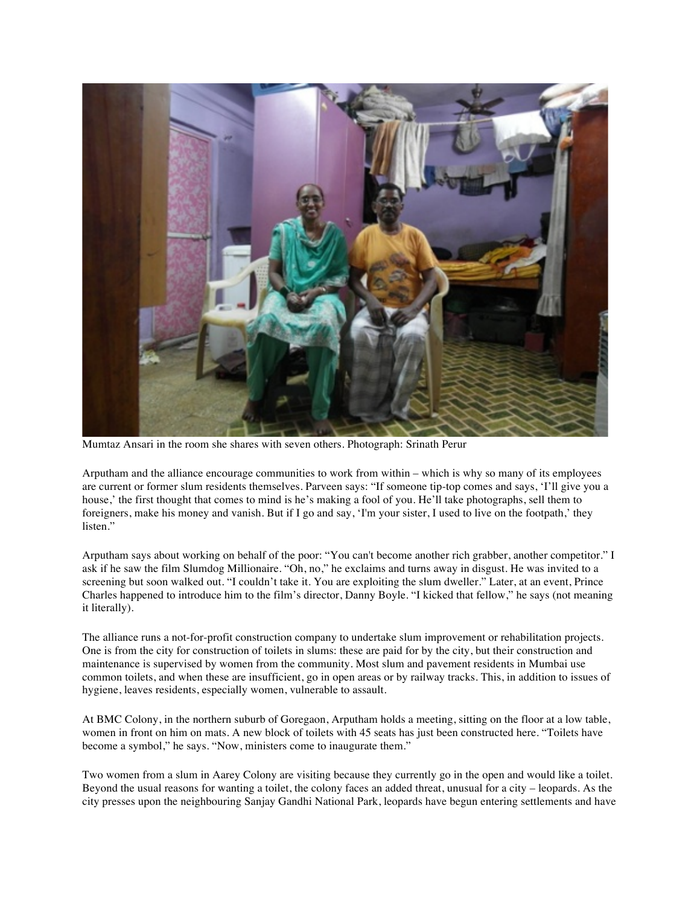

Mumtaz Ansari in the room she shares with seven others. Photograph: Srinath Perur

Arputham and the alliance encourage communities to work from within – which is why so many of its employees are current or former slum residents themselves. Parveen says: "If someone tip-top comes and says, 'I'll give you a house,' the first thought that comes to mind is he's making a fool of you. He'll take photographs, sell them to foreigners, make his money and vanish. But if I go and say, 'I'm your sister, I used to live on the footpath,' they listen."

Arputham says about working on behalf of the poor: "You can't become another rich grabber, another competitor." I ask if he saw the film Slumdog Millionaire. "Oh, no," he exclaims and turns away in disgust. He was invited to a screening but soon walked out. "I couldn't take it. You are exploiting the slum dweller." Later, at an event, Prince Charles happened to introduce him to the film's director, Danny Boyle. "I kicked that fellow," he says (not meaning it literally).

The alliance runs a not-for-profit construction company to undertake slum improvement or rehabilitation projects. One is from the city for construction of toilets in slums: these are paid for by the city, but their construction and maintenance is supervised by women from the community. Most slum and pavement residents in Mumbai use common toilets, and when these are insufficient, go in open areas or by railway tracks. This, in addition to issues of hygiene, leaves residents, especially women, vulnerable to assault.

At BMC Colony, in the northern suburb of Goregaon, Arputham holds a meeting, sitting on the floor at a low table, women in front on him on mats. A new block of toilets with 45 seats has just been constructed here. "Toilets have become a symbol," he says. "Now, ministers come to inaugurate them."

Two women from a slum in Aarey Colony are visiting because they currently go in the open and would like a toilet. Beyond the usual reasons for wanting a toilet, the colony faces an added threat, unusual for a city – leopards. As the city presses upon the neighbouring Sanjay Gandhi National Park, leopards have begun entering settlements and have